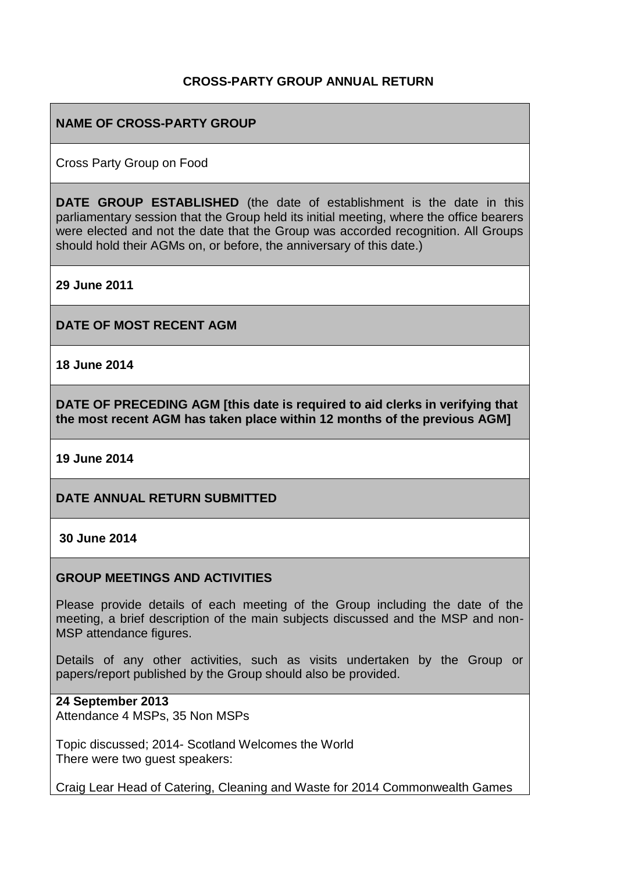## **CROSS-PARTY GROUP ANNUAL RETURN**

## **NAME OF CROSS-PARTY GROUP**

Cross Party Group on Food

**DATE GROUP ESTABLISHED** (the date of establishment is the date in this parliamentary session that the Group held its initial meeting, where the office bearers were elected and not the date that the Group was accorded recognition. All Groups should hold their AGMs on, or before, the anniversary of this date.)

**29 June 2011**

**DATE OF MOST RECENT AGM**

**18 June 2014**

**DATE OF PRECEDING AGM [this date is required to aid clerks in verifying that the most recent AGM has taken place within 12 months of the previous AGM]**

**19 June 2014**

**DATE ANNUAL RETURN SUBMITTED**

**30 June 2014**

### **GROUP MEETINGS AND ACTIVITIES**

Please provide details of each meeting of the Group including the date of the meeting, a brief description of the main subjects discussed and the MSP and non-MSP attendance figures.

Details of any other activities, such as visits undertaken by the Group or papers/report published by the Group should also be provided.

### **24 September 2013**

Attendance 4 MSPs, 35 Non MSPs

Topic discussed; 2014- Scotland Welcomes the World There were two guest speakers:

Craig Lear Head of Catering, Cleaning and Waste for 2014 Commonwealth Games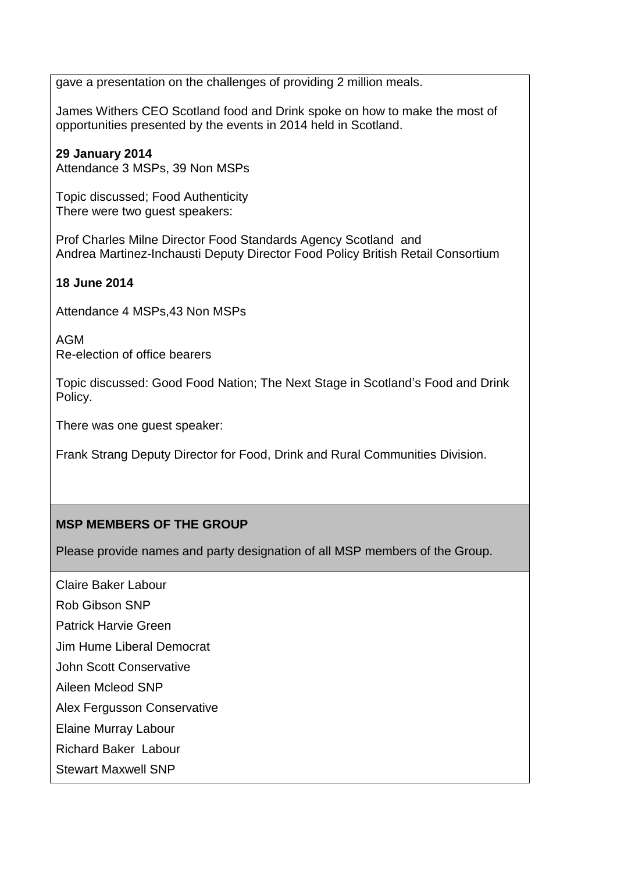gave a presentation on the challenges of providing 2 million meals.

James Withers CEO Scotland food and Drink spoke on how to make the most of opportunities presented by the events in 2014 held in Scotland.

# **29 January 2014**

Attendance 3 MSPs, 39 Non MSPs

Topic discussed; Food Authenticity There were two guest speakers:

Prof Charles Milne Director Food Standards Agency Scotland and Andrea Martinez-Inchausti Deputy Director Food Policy British Retail Consortium

### **18 June 2014**

Attendance 4 MSPs,43 Non MSPs

AGM Re-election of office bearers

Topic discussed: Good Food Nation; The Next Stage in Scotland's Food and Drink Policy.

There was one guest speaker:

Frank Strang Deputy Director for Food, Drink and Rural Communities Division.

# **MSP MEMBERS OF THE GROUP**

Please provide names and party designation of all MSP members of the Group.

Claire Baker Labour

Rob Gibson SNP

Patrick Harvie Green

Jim Hume Liberal Democrat

John Scott Conservative

Aileen Mcleod SNP

Alex Fergusson Conservative

Elaine Murray Labour

Richard Baker Labour

Stewart Maxwell SNP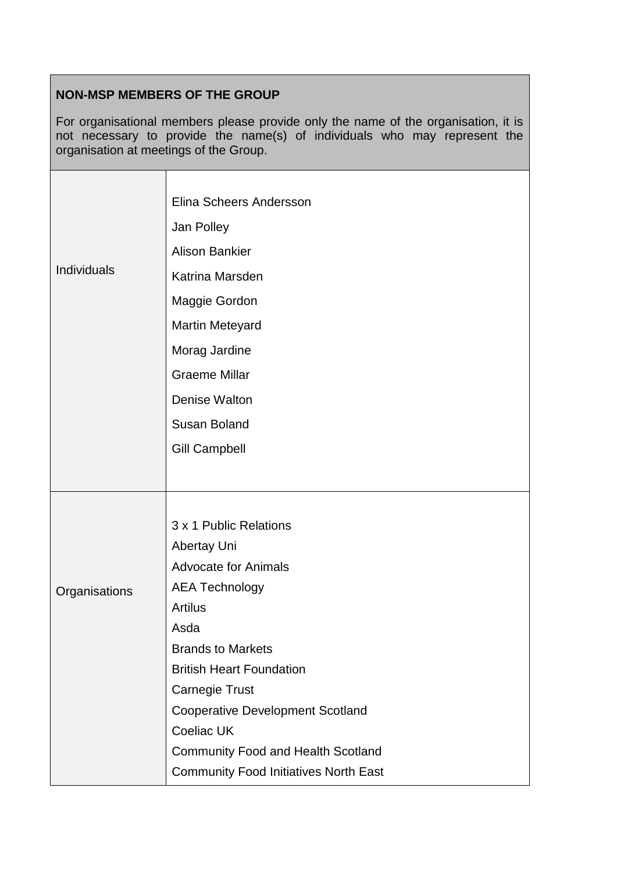# **NON-MSP MEMBERS OF THE GROUP**

 $\overline{\phantom{a}}$ 

For organisational members please provide only the name of the organisation, it is not necessary to provide the name(s) of individuals who may represent the organisation at meetings of the Group.

|               | Elina Scheers Andersson                      |
|---------------|----------------------------------------------|
|               | Jan Polley                                   |
| Individuals   | <b>Alison Bankier</b>                        |
|               | Katrina Marsden                              |
|               | Maggie Gordon                                |
|               | <b>Martin Meteyard</b>                       |
|               | Morag Jardine                                |
|               | <b>Graeme Millar</b>                         |
|               | Denise Walton                                |
|               | <b>Susan Boland</b>                          |
|               | <b>Gill Campbell</b>                         |
|               |                                              |
|               |                                              |
|               | 3 x 1 Public Relations                       |
|               | Abertay Uni                                  |
|               | <b>Advocate for Animals</b>                  |
| Organisations | <b>AEA Technology</b>                        |
|               | <b>Artilus</b>                               |
|               | Asda                                         |
|               | <b>Brands to Markets</b>                     |
|               | <b>British Heart Foundation</b>              |
|               | <b>Carnegie Trust</b>                        |
|               | <b>Cooperative Development Scotland</b>      |
|               | <b>Coeliac UK</b>                            |
|               | <b>Community Food and Health Scotland</b>    |
|               | <b>Community Food Initiatives North East</b> |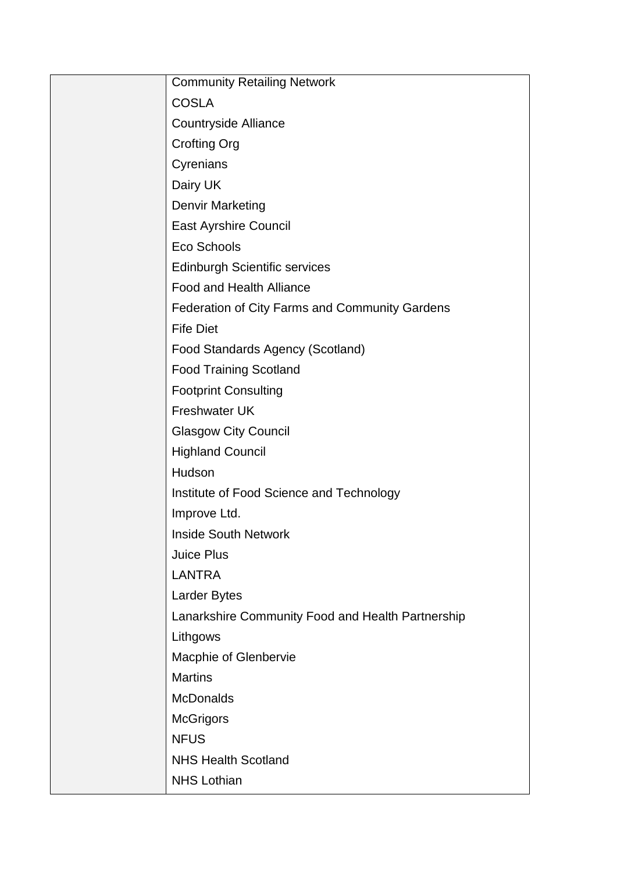| <b>Community Retailing Network</b>                    |
|-------------------------------------------------------|
| <b>COSLA</b>                                          |
| <b>Countryside Alliance</b>                           |
| <b>Crofting Org</b>                                   |
| Cyrenians                                             |
| Dairy UK                                              |
| <b>Denvir Marketing</b>                               |
| <b>East Ayrshire Council</b>                          |
| Eco Schools                                           |
| <b>Edinburgh Scientific services</b>                  |
| <b>Food and Health Alliance</b>                       |
| <b>Federation of City Farms and Community Gardens</b> |
| <b>Fife Diet</b>                                      |
| Food Standards Agency (Scotland)                      |
| <b>Food Training Scotland</b>                         |
| <b>Footprint Consulting</b>                           |
| Freshwater UK                                         |
| <b>Glasgow City Council</b>                           |
| <b>Highland Council</b>                               |
| Hudson                                                |
| Institute of Food Science and Technology              |
| Improve Ltd.                                          |
| <b>Inside South Network</b>                           |
| Juice Plus                                            |
| <b>LANTRA</b>                                         |
| <b>Larder Bytes</b>                                   |
| Lanarkshire Community Food and Health Partnership     |
| Lithgows                                              |
| Macphie of Glenbervie                                 |
| <b>Martins</b>                                        |
| <b>McDonalds</b>                                      |
| <b>McGrigors</b>                                      |
| <b>NFUS</b>                                           |
| <b>NHS Health Scotland</b>                            |
| <b>NHS Lothian</b>                                    |
|                                                       |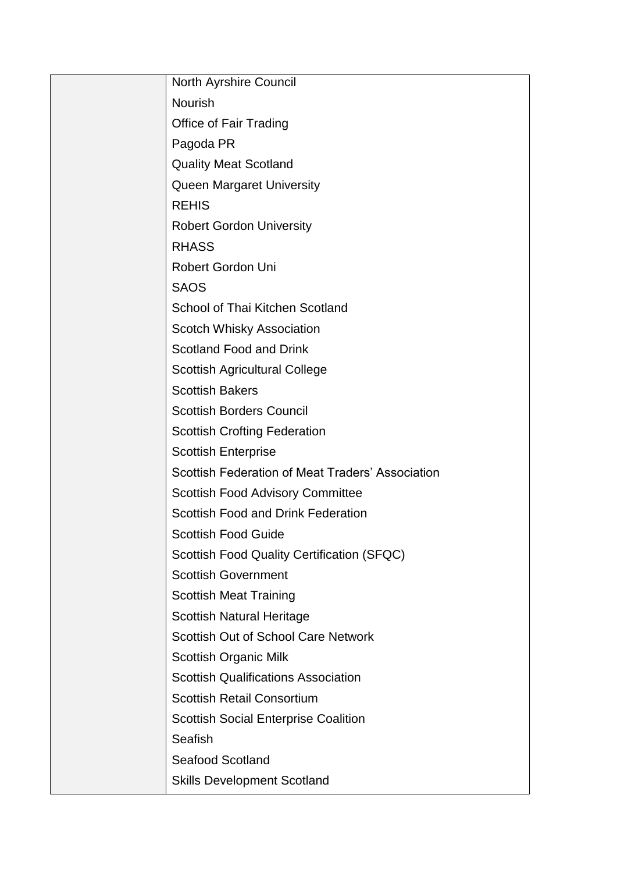| <b>North Ayrshire Council</b>                    |
|--------------------------------------------------|
| <b>Nourish</b>                                   |
| <b>Office of Fair Trading</b>                    |
| Pagoda PR                                        |
| <b>Quality Meat Scotland</b>                     |
| <b>Queen Margaret University</b>                 |
| <b>REHIS</b>                                     |
| <b>Robert Gordon University</b>                  |
| <b>RHASS</b>                                     |
| Robert Gordon Uni                                |
| <b>SAOS</b>                                      |
| School of Thai Kitchen Scotland                  |
| Scotch Whisky Association                        |
| <b>Scotland Food and Drink</b>                   |
| <b>Scottish Agricultural College</b>             |
| <b>Scottish Bakers</b>                           |
| <b>Scottish Borders Council</b>                  |
| <b>Scottish Crofting Federation</b>              |
| <b>Scottish Enterprise</b>                       |
| Scottish Federation of Meat Traders' Association |
| <b>Scottish Food Advisory Committee</b>          |
| Scottish Food and Drink Federation               |
| <b>Scottish Food Guide</b>                       |
| Scottish Food Quality Certification (SFQC)       |
| <b>Scottish Government</b>                       |
| <b>Scottish Meat Training</b>                    |
| <b>Scottish Natural Heritage</b>                 |
| Scottish Out of School Care Network              |
| <b>Scottish Organic Milk</b>                     |
| <b>Scottish Qualifications Association</b>       |
| <b>Scottish Retail Consortium</b>                |
| <b>Scottish Social Enterprise Coalition</b>      |
| Seafish                                          |
| <b>Seafood Scotland</b>                          |
| <b>Skills Development Scotland</b>               |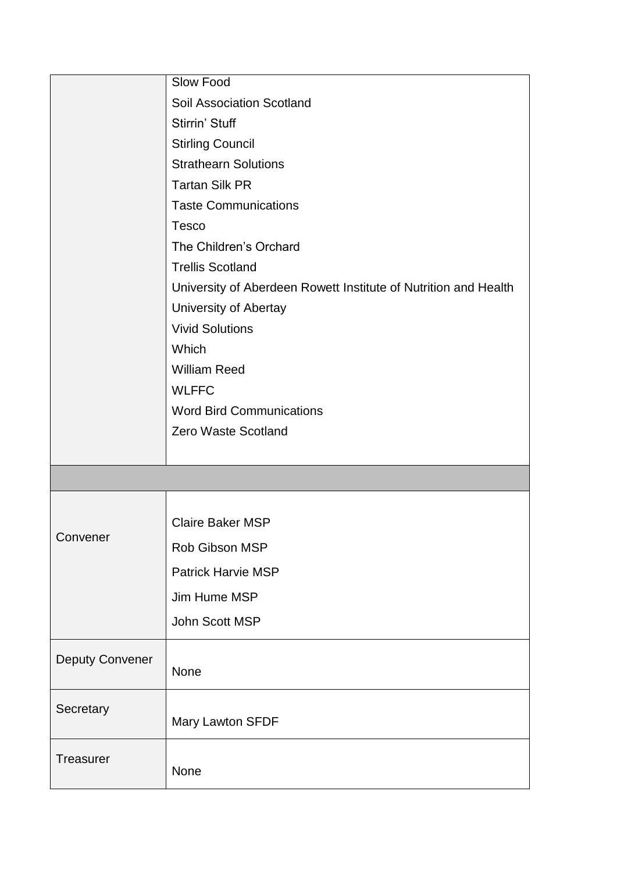|                        | Slow Food                                                       |
|------------------------|-----------------------------------------------------------------|
|                        | Soil Association Scotland                                       |
|                        | Stirrin' Stuff                                                  |
|                        | <b>Stirling Council</b>                                         |
|                        | <b>Strathearn Solutions</b>                                     |
|                        | <b>Tartan Silk PR</b>                                           |
|                        | <b>Taste Communications</b>                                     |
|                        | <b>Tesco</b>                                                    |
|                        | The Children's Orchard                                          |
|                        | <b>Trellis Scotland</b>                                         |
|                        | University of Aberdeen Rowett Institute of Nutrition and Health |
|                        | University of Abertay                                           |
|                        | <b>Vivid Solutions</b>                                          |
|                        | Which                                                           |
|                        | <b>William Reed</b>                                             |
|                        | <b>WLFFC</b>                                                    |
|                        | <b>Word Bird Communications</b>                                 |
|                        | <b>Zero Waste Scotland</b>                                      |
|                        |                                                                 |
|                        |                                                                 |
|                        |                                                                 |
|                        | <b>Claire Baker MSP</b>                                         |
| Convener               | Rob Gibson MSP                                                  |
|                        | Patrick Harvie MSP                                              |
|                        | Jim Hume MSP                                                    |
|                        | John Scott MSP                                                  |
|                        |                                                                 |
| <b>Deputy Convener</b> |                                                                 |
|                        | None                                                            |
| Secretary              |                                                                 |
|                        | Mary Lawton SFDF                                                |
| <b>Treasurer</b>       |                                                                 |
|                        | None                                                            |
|                        |                                                                 |